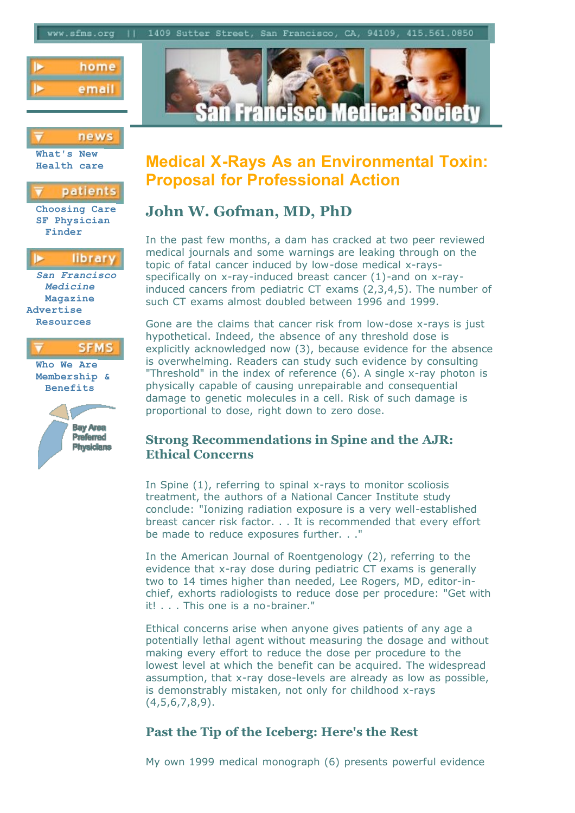





**What's New Health care**



**Choosing Care SF Physician Finder**



*San Francisco Medicine* **Magazine Advertise Resources**

| <b>Who We Are</b> |  |  |  |
|-------------------|--|--|--|
| Membership &      |  |  |  |
| <b>Benefits</b>   |  |  |  |
|                   |  |  |  |





# **Medical X-Rays As an Environmental Toxin: Proposal for Professional Action**

# **John W. Gofman, MD, PhD**

In the past few months, a dam has cracked at two peer reviewed medical journals and some warnings are leaking through on the topic of fatal cancer induced by low-dose medical x-raysspecifically on x-ray-induced breast cancer (1)-and on x-rayinduced cancers from pediatric CT exams (2,3,4,5). The number of such CT exams almost doubled between 1996 and 1999.

Gone are the claims that cancer risk from low-dose x-rays is just hypothetical. Indeed, the absence of any threshold dose is explicitly acknowledged now (3), because evidence for the absence is overwhelming. Readers can study such evidence by consulting "Threshold" in the index of reference (6). A single x-ray photon is physically capable of causing unrepairable and consequential damage to genetic molecules in a cell. Risk of such damage is proportional to dose, right down to zero dose.

# **Strong Recommendations in Spine and the AJR: Ethical Concerns**

In Spine (1), referring to spinal x-rays to monitor scoliosis treatment, the authors of a National Cancer Institute study conclude: "Ionizing radiation exposure is a very well-established breast cancer risk factor. . . It is recommended that every effort be made to reduce exposures further. . ."

In the American Journal of Roentgenology (2), referring to the evidence that x-ray dose during pediatric CT exams is generally two to 14 times higher than needed, Lee Rogers, MD, editor-inchief, exhorts radiologists to reduce dose per procedure: "Get with it! . . . This one is a no-brainer."

Ethical concerns arise when anyone gives patients of any age a potentially lethal agent without measuring the dosage and without making every effort to reduce the dose per procedure to the lowest level at which the benefit can be acquired. The widespread assumption, that x-ray dose-levels are already as low as possible, is demonstrably mistaken, not only for childhood x-rays (4,5,6,7,8,9).

# **Past the Tip of the Iceberg: Here's the Rest**

My own 1999 medical monograph (6) presents powerful evidence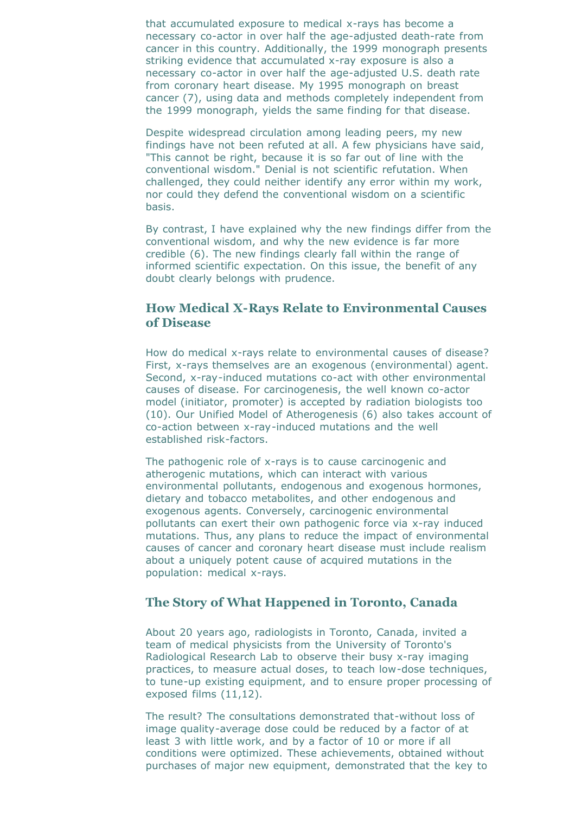that accumulated exposure to medical x-rays has become a necessary co-actor in over half the age-adjusted death-rate from cancer in this country. Additionally, the 1999 monograph presents striking evidence that accumulated x-ray exposure is also a necessary co-actor in over half the age-adjusted U.S. death rate from coronary heart disease. My 1995 monograph on breast cancer (7), using data and methods completely independent from the 1999 monograph, yields the same finding for that disease.

Despite widespread circulation among leading peers, my new findings have not been refuted at all. A few physicians have said, "This cannot be right, because it is so far out of line with the conventional wisdom." Denial is not scientific refutation. When challenged, they could neither identify any error within my work, nor could they defend the conventional wisdom on a scientific basis.

By contrast, I have explained why the new findings differ from the conventional wisdom, and why the new evidence is far more credible (6). The new findings clearly fall within the range of informed scientific expectation. On this issue, the benefit of any doubt clearly belongs with prudence.

## **How Medical X-Rays Relate to Environmental Causes of Disease**

How do medical x-rays relate to environmental causes of disease? First, x-rays themselves are an exogenous (environmental) agent. Second, x-ray-induced mutations co-act with other environmental causes of disease. For carcinogenesis, the well known co-actor model (initiator, promoter) is accepted by radiation biologists too (10). Our Unified Model of Atherogenesis (6) also takes account of co-action between x-ray-induced mutations and the well established risk-factors.

The pathogenic role of x-rays is to cause carcinogenic and atherogenic mutations, which can interact with various environmental pollutants, endogenous and exogenous hormones, dietary and tobacco metabolites, and other endogenous and exogenous agents. Conversely, carcinogenic environmental pollutants can exert their own pathogenic force via x-ray induced mutations. Thus, any plans to reduce the impact of environmental causes of cancer and coronary heart disease must include realism about a uniquely potent cause of acquired mutations in the population: medical x-rays.

#### **The Story of What Happened in Toronto, Canada**

About 20 years ago, radiologists in Toronto, Canada, invited a team of medical physicists from the University of Toronto's Radiological Research Lab to observe their busy x-ray imaging practices, to measure actual doses, to teach low-dose techniques, to tune-up existing equipment, and to ensure proper processing of exposed films (11,12).

The result? The consultations demonstrated that-without loss of image quality-average dose could be reduced by a factor of at least 3 with little work, and by a factor of 10 or more if all conditions were optimized. These achievements, obtained without purchases of major new equipment, demonstrated that the key to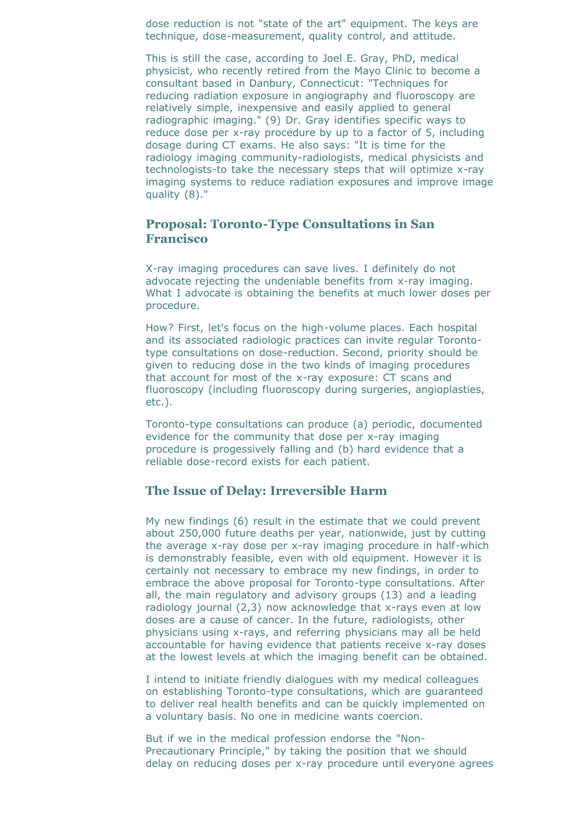dose reduction is not "state of the art" equipment. The keys are technique, dose-measurement, quality control, and attitude.

This is still the case, according to Joel E. Gray, PhD, medical physicist, who recently retired from the Mayo Clinic to become a consultant based in Danbury, Connecticut: "Techniques for reducing radiation exposure in angiography and fluoroscopy are relatively simple, inexpensive and easily applied to general radiographic imaging." (9) Dr. Gray identifies specific ways to reduce dose per x-ray procedure by up to a factor of 5, including dosage during CT exams. He also says: "It is time for the radiology imaging community-radiologists, medical physicists and technologists-to take the necessary steps that will optimize x-ray imaging systems to reduce radiation exposures and improve image quality (8)."

### **Proposal: Toronto-Type Consultations in San Francisco**

X-ray imaging procedures can save lives. I definitely do not advocate rejecting the undeniable benefits from x-ray imaging. What I advocate is obtaining the benefits at much lower doses per procedure.

How? First, let's focus on the high-volume places. Each hospital and its associated radiologic practices can invite regular Torontotype consultations on dose-reduction. Second, priority should be given to reducing dose in the two kinds of imaging procedures that account for most of the x-ray exposure: CT scans and fluoroscopy (including fluoroscopy during surgeries, angioplasties, etc.).

Toronto-type consultations can produce (a) periodic, documented evidence for the community that dose per x-ray imaging procedure is progessively falling and (b) hard evidence that a reliable dose-record exists for each patient.

### **The Issue of Delay: Irreversible Harm**

My new findings (6) result in the estimate that we could prevent about 250,000 future deaths per year, nationwide, just by cutting the average x-ray dose per x-ray imaging procedure in half-which is demonstrably feasible, even with old equipment. However it is certainly not necessary to embrace my new findings, in order to embrace the above proposal for Toronto-type consultations. After all, the main regulatory and advisory groups (13) and a leading radiology journal (2,3) now acknowledge that x-rays even at low doses are a cause of cancer. In the future, radiologists, other physicians using x-rays, and referring physicians may all be held accountable for having evidence that patients receive x-ray doses at the lowest levels at which the imaging benefit can be obtained.

I intend to initiate friendly dialogues with my medical colleagues on establishing Toronto-type consultations, which are guaranteed to deliver real health benefits and can be quickly implemented on a voluntary basis. No one in medicine wants coercion.

But if we in the medical profession endorse the "Non-Precautionary Principle," by taking the position that we should delay on reducing doses per x-ray procedure until everyone agrees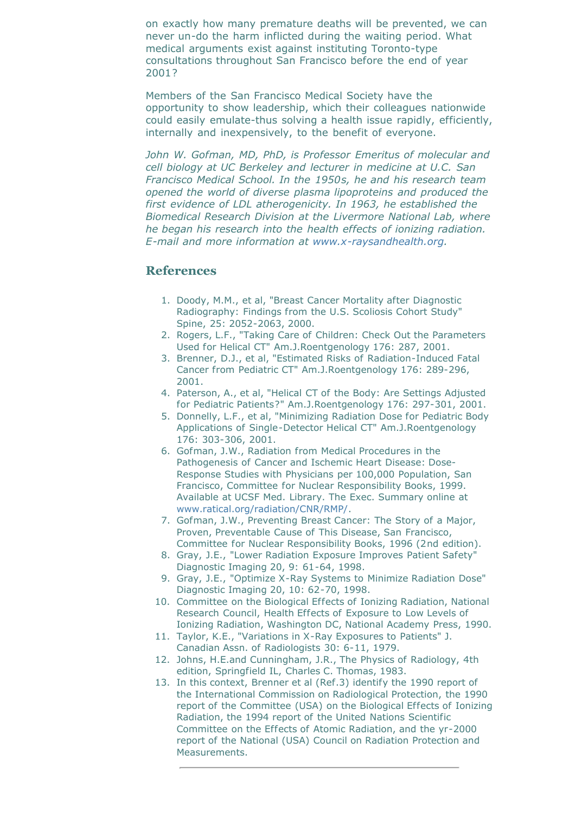on exactly how many premature deaths will be prevented, we can never un-do the harm inflicted during the waiting period. What medical arguments exist against instituting Toronto-type consultations throughout San Francisco before the end of year 2001?

Members of the San Francisco Medical Society have the opportunity to show leadership, which their colleagues nationwide could easily emulate-thus solving a health issue rapidly, efficiently, internally and inexpensively, to the benefit of everyone.

*John W. Gofman, MD, PhD, is Professor Emeritus of molecular and cell biology at UC Berkeley and lecturer in medicine at U.C. San Francisco Medical School. In the 1950s, he and his research team opened the world of diverse plasma lipoproteins and produced the first evidence of LDL atherogenicity. In 1963, he established the Biomedical Research Division at the Livermore National Lab, where he began his research into the health effects of ionizing radiation. E-mail and more information at www.x-raysandhealth.org.*

### **References**

- 1. Doody, M.M., et al, "Breast Cancer Mortality after Diagnostic Radiography: Findings from the U.S. Scoliosis Cohort Study" Spine, 25: 2052-2063, 2000.
- 2. Rogers, L.F., "Taking Care of Children: Check Out the Parameters Used for Helical CT" Am.J.Roentgenology 176: 287, 2001.
- 3. Brenner, D.J., et al, "Estimated Risks of Radiation-Induced Fatal Cancer from Pediatric CT" Am.J.Roentgenology 176: 289-296, 2001.
- 4. Paterson, A., et al, "Helical CT of the Body: Are Settings Adjusted for Pediatric Patients?" Am.J.Roentgenology 176: 297-301, 2001.
- 5. Donnelly, L.F., et al, "Minimizing Radiation Dose for Pediatric Body Applications of Single-Detector Helical CT" Am.J.Roentgenology 176: 303-306, 2001.
- 6. Gofman, J.W., Radiation from Medical Procedures in the Pathogenesis of Cancer and Ischemic Heart Disease: Dose-Response Studies with Physicians per 100,000 Population, San Francisco, Committee for Nuclear Responsibility Books, 1999. Available at UCSF Med. Library. The Exec. Summary online at www.ratical.org/radiation/CNR/RMP/.
- 7. Gofman, J.W., Preventing Breast Cancer: The Story of a Major, Proven, Preventable Cause of This Disease, San Francisco, Committee for Nuclear Responsibility Books, 1996 (2nd edition).
- 8. Gray, J.E., "Lower Radiation Exposure Improves Patient Safety" Diagnostic Imaging 20, 9: 61-64, 1998.
- 9. Gray, J.E., "Optimize X-Ray Systems to Minimize Radiation Dose" Diagnostic Imaging 20, 10: 62-70, 1998.
- 10. Committee on the Biological Effects of Ionizing Radiation, National Research Council, Health Effects of Exposure to Low Levels of Ionizing Radiation, Washington DC, National Academy Press, 1990.
- 11. Taylor, K.E., "Variations in X-Ray Exposures to Patients" J. Canadian Assn. of Radiologists 30: 6-11, 1979.
- 12. Johns, H.E.and Cunningham, J.R., The Physics of Radiology, 4th edition, Springfield IL, Charles C. Thomas, 1983.
- 13. In this context, Brenner et al (Ref.3) identify the 1990 report of the International Commission on Radiological Protection, the 1990 report of the Committee (USA) on the Biological Effects of Ionizing Radiation, the 1994 report of the United Nations Scientific Committee on the Effects of Atomic Radiation, and the yr-2000 report of the National (USA) Council on Radiation Protection and Measurements.